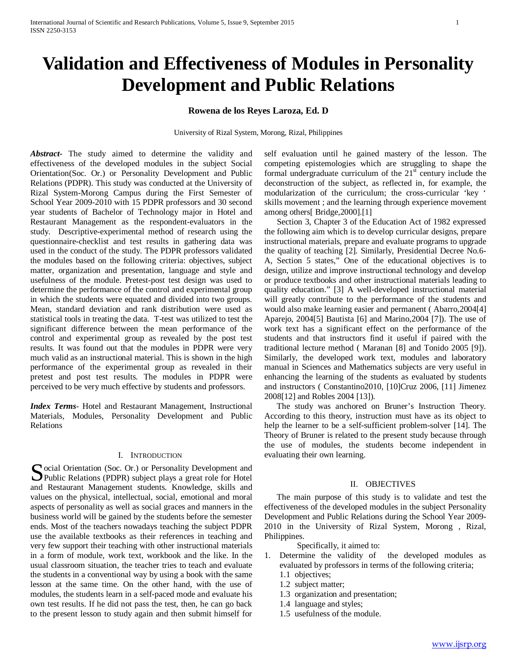# **Validation and Effectiveness of Modules in Personality Development and Public Relations**

## **Rowena de los Reyes Laroza, Ed. D**

University of Rizal System, Morong, Rizal, Philippines

*Abstract***-** The study aimed to determine the validity and effectiveness of the developed modules in the subject Social Orientation(Soc. Or.) or Personality Development and Public Relations (PDPR). This study was conducted at the University of Rizal System-Morong Campus during the First Semester of School Year 2009-2010 with 15 PDPR professors and 30 second year students of Bachelor of Technology major in Hotel and Restaurant Management as the respondent-evaluators in the study. Descriptive-experimental method of research using the questionnaire-checklist and test results in gathering data was used in the conduct of the study. The PDPR professors validated the modules based on the following criteria: objectives, subject matter, organization and presentation, language and style and usefulness of the module. Pretest-post test design was used to determine the performance of the control and experimental group in which the students were equated and divided into two groups. Mean, standard deviation and rank distribution were used as statistical tools in treating the data. T-test was utilized to test the significant difference between the mean performance of the control and experimental group as revealed by the post test results. It was found out that the modules in PDPR were very much valid as an instructional material. This is shown in the high performance of the experimental group as revealed in their pretest and post test results. The modules in PDPR were perceived to be very much effective by students and professors.

*Index Terms*- Hotel and Restaurant Management, Instructional Materials, Modules, Personality Development and Public Relations

## I. INTRODUCTION

ocial Orientation (Soc. Or.) or Personality Development and Social Orientation (Soc. Or.) or Personality Development and<br>Public Relations (PDPR) subject plays a great role for Hotel<br>
Number of Number and Restaurant Management students. Knowledge, skills and values on the physical, intellectual, social, emotional and moral aspects of personality as well as social graces and manners in the business world will be gained by the students before the semester ends. Most of the teachers nowadays teaching the subject PDPR use the available textbooks as their references in teaching and very few support their teaching with other instructional materials in a form of module, work text, workbook and the like. In the usual classroom situation, the teacher tries to teach and evaluate the students in a conventional way by using a book with the same lesson at the same time. On the other hand, with the use of modules, the students learn in a self-paced mode and evaluate his own test results. If he did not pass the test, then, he can go back to the present lesson to study again and then submit himself for

self evaluation until he gained mastery of the lesson. The competing epistemologies which are struggling to shape the formal undergraduate curriculum of the  $21<sup>st</sup>$  century include the deconstruction of the subject, as reflected in, for example, the modularization of the curriculum; the cross-curricular 'key ' skills movement ; and the learning through experience movement among others[ Bridge,2000].[1]

 Section 3, Chapter 3 of the Education Act of 1982 expressed the following aim which is to develop curricular designs, prepare instructional materials, prepare and evaluate programs to upgrade the quality of teaching [2]. Similarly, Presidential Decree No.6- A, Section 5 states," One of the educational objectives is to design, utilize and improve instructional technology and develop or produce textbooks and other instructional materials leading to quality education." [3] A well-developed instructional material will greatly contribute to the performance of the students and would also make learning easier and permanent ( Abarro,2004[4] Aparejo, 2004[5] Bautista [6] and Marino,2004 [7]). The use of work text has a significant effect on the performance of the students and that instructors find it useful if paired with the traditional lecture method ( Maranan [8] and Tonido 2005 [9]). Similarly, the developed work text, modules and laboratory manual in Sciences and Mathematics subjects are very useful in enhancing the learning of the students as evaluated by students and instructors ( Constantino2010, [10]Cruz 2006, [11] Jimenez 2008[12] and Robles 2004 [13]).

 The study was anchored on Bruner's Instruction Theory. According to this theory, instruction must have as its object to help the learner to be a self-sufficient problem-solver [14]. The Theory of Bruner is related to the present study because through the use of modules, the students become independent in evaluating their own learning.

## II. OBJECTIVES

 The main purpose of this study is to validate and test the effectiveness of the developed modules in the subject Personality Development and Public Relations during the School Year 2009- 2010 in the University of Rizal System, Morong , Rizal, Philippines.

Specifically, it aimed to:

- 1. Determine the validity of the developed modules as evaluated by professors in terms of the following criteria;
	- 1.1 objectives;
	- 1.2 subject matter;
	- 1.3 organization and presentation;
	- 1.4 language and styles;
	- 1.5 usefulness of the module.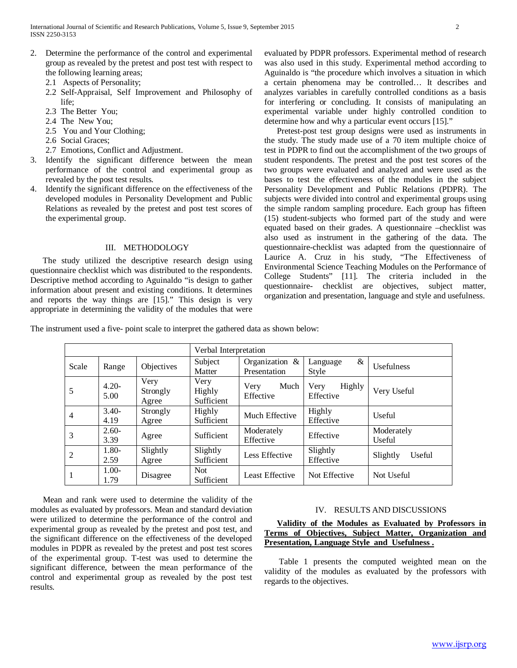- 2. Determine the performance of the control and experimental group as revealed by the pretest and post test with respect to the following learning areas;
	- 2.1 Aspects of Personality;
	- 2.2 Self-Appraisal, Self Improvement and Philosophy of life;
	- 2.3 The Better You;
	- 2.4 The New You;
	- 2.5 You and Your Clothing;
	- 2.6 Social Graces;
	- 2.7 Emotions, Conflict and Adjustment.
- 3. Identify the significant difference between the mean performance of the control and experimental group as revealed by the post test results.
- 4. Identify the significant difference on the effectiveness of the developed modules in Personality Development and Public Relations as revealed by the pretest and post test scores of the experimental group.

#### III. METHODOLOGY

 The study utilized the descriptive research design using questionnaire checklist which was distributed to the respondents. Descriptive method according to Aguinaldo "is design to gather information about present and existing conditions. It determines and reports the way things are [15]." This design is very appropriate in determining the validity of the modules that were evaluated by PDPR professors. Experimental method of research was also used in this study. Experimental method according to Aguinaldo is "the procedure which involves a situation in which a certain phenomena may be controlled… It describes and analyzes variables in carefully controlled conditions as a basis for interfering or concluding. It consists of manipulating an experimental variable under highly controlled condition to determine how and why a particular event occurs [15]."

 Pretest-post test group designs were used as instruments in the study. The study made use of a 70 item multiple choice of test in PDPR to find out the accomplishment of the two groups of student respondents. The pretest and the post test scores of the two groups were evaluated and analyzed and were used as the bases to test the effectiveness of the modules in the subject Personality Development and Public Relations (PDPR). The subjects were divided into control and experimental groups using the simple random sampling procedure. Each group has fifteen (15) student-subjects who formed part of the study and were equated based on their grades. A questionnaire –checklist was also used as instrument in the gathering of the data. The questionnaire-checklist was adapted from the questionnaire of Laurice A. Cruz in his study, "The Effectiveness of Environmental Science Teaching Modules on the Performance of College Students" [11]. The criteria included in the questionnaire- checklist are objectives, subject matter, organization and presentation, language and style and usefulness.

The instrument used a five- point scale to interpret the gathered data as shown below:

|                |                  |                           | Verbal Interpretation        |                                         |                             |                    |  |  |  |
|----------------|------------------|---------------------------|------------------------------|-----------------------------------------|-----------------------------|--------------------|--|--|--|
| Scale          | Range            | Objectives                | Subject<br>Matter            | Organization $\&$<br>Presentation       | &<br>Language<br>Style      | <b>Usefulness</b>  |  |  |  |
| 5              | $4.20 -$<br>5.00 | Very<br>Strongly<br>Agree | Very<br>Highly<br>Sufficient | Much<br>Very<br>Effective               | Highly<br>Very<br>Effective | Very Useful        |  |  |  |
| 4              | $3.40-$<br>4.19  | Strongly<br>Agree         | Highly<br>Sufficient         | Much Effective                          | Highly<br>Effective         |                    |  |  |  |
| 3              | $2.60-$<br>3.39  | Agree                     | Sufficient                   | Moderately<br>Effective                 | Effective                   |                    |  |  |  |
| $\overline{2}$ | $1.80-$<br>2.59  | Slightly<br>Agree         | Slightly<br>Sufficient       | Slightly<br>Less Effective<br>Effective |                             | Slightly<br>Useful |  |  |  |
|                | $1.00-$<br>1.79  | Disagree                  | Not.<br>Sufficient           | Least Effective                         | Not Effective               | Not Useful         |  |  |  |

 Mean and rank were used to determine the validity of the modules as evaluated by professors. Mean and standard deviation were utilized to determine the performance of the control and experimental group as revealed by the pretest and post test, and the significant difference on the effectiveness of the developed modules in PDPR as revealed by the pretest and post test scores of the experimental group. T-test was used to determine the significant difference, between the mean performance of the control and experimental group as revealed by the post test results.

#### IV. RESULTS AND DISCUSSIONS

## **Validity of the Modules as Evaluated by Professors in Terms of Objectives, Subject Matter, Organization and Presentation, Language Style and Usefulness .**

 Table 1 presents the computed weighted mean on the validity of the modules as evaluated by the professors with regards to the objectives.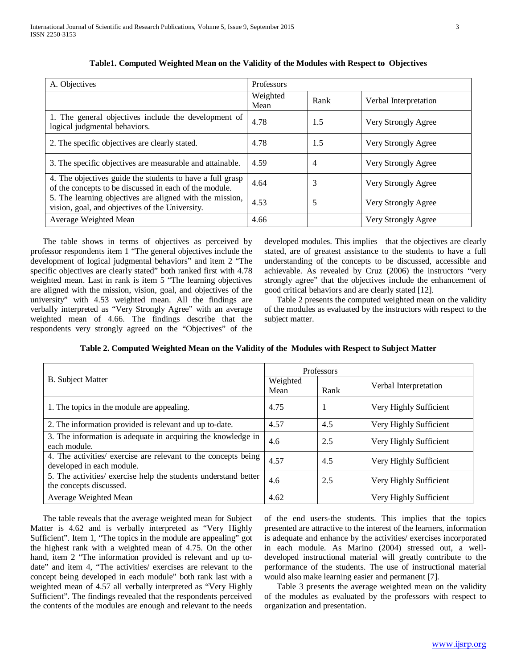| A. Objectives                                                                                                       | <b>Professors</b> |                |                       |
|---------------------------------------------------------------------------------------------------------------------|-------------------|----------------|-----------------------|
|                                                                                                                     | Weighted<br>Mean  | Rank           | Verbal Interpretation |
| 1. The general objectives include the development of<br>logical judgmental behaviors.                               | 4.78              | 1.5            | Very Strongly Agree   |
| 2. The specific objectives are clearly stated.                                                                      | 4.78              | 1.5            | Very Strongly Agree   |
| 3. The specific objectives are measurable and attainable.                                                           | 4.59              | $\overline{4}$ | Very Strongly Agree   |
| 4. The objectives guide the students to have a full grasp<br>of the concepts to be discussed in each of the module. | 4.64              | 3              | Very Strongly Agree   |
| 5. The learning objectives are aligned with the mission,<br>vision, goal, and objectives of the University.         | 4.53              | 5              | Very Strongly Agree   |
| Average Weighted Mean                                                                                               | 4.66              |                | Very Strongly Agree   |

## **Table1. Computed Weighted Mean on the Validity of the Modules with Respect to Objectives**

 The table shows in terms of objectives as perceived by professor respondents item 1 "The general objectives include the development of logical judgmental behaviors" and item 2 "The specific objectives are clearly stated" both ranked first with 4.78 weighted mean. Last in rank is item 5 "The learning objectives are aligned with the mission, vision, goal, and objectives of the university" with 4.53 weighted mean. All the findings are verbally interpreted as "Very Strongly Agree" with an average weighted mean of 4.66. The findings describe that the respondents very strongly agreed on the "Objectives" of the developed modules. This implies that the objectives are clearly stated, are of greatest assistance to the students to have a full understanding of the concepts to be discussed, accessible and achievable. As revealed by Cruz (2006) the instructors "very strongly agree" that the objectives include the enhancement of good critical behaviors and are clearly stated [12].

 Table 2 presents the computed weighted mean on the validity of the modules as evaluated by the instructors with respect to the subject matter.

|  |  |  | Table 2. Computed Weighted Mean on the Validity of the Modules with Respect to Subject Matter |  |
|--|--|--|-----------------------------------------------------------------------------------------------|--|
|--|--|--|-----------------------------------------------------------------------------------------------|--|

|                                                                                             | Professors       |      |                        |  |  |  |  |
|---------------------------------------------------------------------------------------------|------------------|------|------------------------|--|--|--|--|
| <b>B.</b> Subject Matter                                                                    | Weighted<br>Mean | Rank | Verbal Interpretation  |  |  |  |  |
| 1. The topics in the module are appealing.                                                  | 4.75             |      | Very Highly Sufficient |  |  |  |  |
| 2. The information provided is relevant and up to-date.                                     | 4.57             | 4.5  | Very Highly Sufficient |  |  |  |  |
| 3. The information is adequate in acquiring the knowledge in<br>each module.                | 4.6              | 2.5  | Very Highly Sufficient |  |  |  |  |
| 4. The activities/ exercise are relevant to the concepts being<br>developed in each module. | 4.57             | 4.5  | Very Highly Sufficient |  |  |  |  |
| 5. The activities/ exercise help the students understand better<br>the concepts discussed.  | 4.6              | 2.5  | Very Highly Sufficient |  |  |  |  |
| Average Weighted Mean                                                                       | 4.62             |      | Very Highly Sufficient |  |  |  |  |

 The table reveals that the average weighted mean for Subject Matter is 4.62 and is verbally interpreted as "Very Highly Sufficient". Item 1, "The topics in the module are appealing" got the highest rank with a weighted mean of 4.75. On the other hand, item 2 "The information provided is relevant and up todate" and item 4, "The activities/ exercises are relevant to the concept being developed in each module" both rank last with a weighted mean of 4.57 all verbally interpreted as "Very Highly Sufficient". The findings revealed that the respondents perceived the contents of the modules are enough and relevant to the needs

of the end users-the students. This implies that the topics presented are attractive to the interest of the learners, information is adequate and enhance by the activities/ exercises incorporated in each module. As Marino (2004) stressed out, a welldeveloped instructional material will greatly contribute to the performance of the students. The use of instructional material would also make learning easier and permanent [7].

 Table 3 presents the average weighted mean on the validity of the modules as evaluated by the professors with respect to organization and presentation.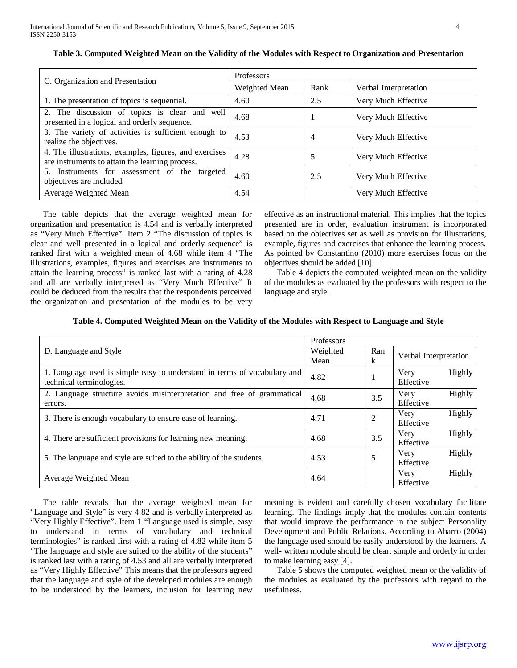| C. Organization and Presentation                                                                          | Professors    |      |                       |  |  |  |
|-----------------------------------------------------------------------------------------------------------|---------------|------|-----------------------|--|--|--|
|                                                                                                           | Weighted Mean | Rank | Verbal Interpretation |  |  |  |
| 1. The presentation of topics is sequential.                                                              | 4.60          | 2.5  | Very Much Effective   |  |  |  |
| 2. The discussion of topics is clear and well<br>presented in a logical and orderly sequence.             | 4.68          |      | Very Much Effective   |  |  |  |
| 3. The variety of activities is sufficient enough to<br>realize the objectives.                           | 4.53          | 4    | Very Much Effective   |  |  |  |
| 4. The illustrations, examples, figures, and exercises<br>are instruments to attain the learning process. | 4.28          | 5    | Very Much Effective   |  |  |  |
| 5. Instruments for assessment of the<br>targeted<br>objectives are included.                              | 4.60          | 2.5  | Very Much Effective   |  |  |  |
| Average Weighted Mean                                                                                     | 4.54          |      | Very Much Effective   |  |  |  |

## **Table 3. Computed Weighted Mean on the Validity of the Modules with Respect to Organization and Presentation**

 The table depicts that the average weighted mean for organization and presentation is 4.54 and is verbally interpreted as "Very Much Effective". Item 2 "The discussion of topics is clear and well presented in a logical and orderly sequence" is ranked first with a weighted mean of 4.68 while item 4 "The illustrations, examples, figures and exercises are instruments to attain the learning process" is ranked last with a rating of 4.28 and all are verbally interpreted as "Very Much Effective" It could be deduced from the results that the respondents perceived the organization and presentation of the modules to be very

effective as an instructional material. This implies that the topics presented are in order, evaluation instrument is incorporated based on the objectives set as well as provision for illustrations, example, figures and exercises that enhance the learning process. As pointed by Constantino (2010) more exercises focus on the objectives should be added [10].

 Table 4 depicts the computed weighted mean on the validity of the modules as evaluated by the professors with respect to the language and style.

| Table 4. Computed Weighted Mean on the Validity of the Modules with Respect to Language and Style |  |  |  |  |  |  |  |  |  |
|---------------------------------------------------------------------------------------------------|--|--|--|--|--|--|--|--|--|
|---------------------------------------------------------------------------------------------------|--|--|--|--|--|--|--|--|--|

|                                                                                                      | <b>Professors</b> |                |                       |        |
|------------------------------------------------------------------------------------------------------|-------------------|----------------|-----------------------|--------|
| D. Language and Style                                                                                | Weighted<br>Mean  | Ran<br>K       | Verbal Interpretation |        |
| 1. Language used is simple easy to understand in terms of vocabulary and<br>technical terminologies. | 4.82              |                | Very<br>Effective     | Highly |
| 2. Language structure avoids misinterpretation and free of grammatical<br>errors.                    | 4.68              | 3.5            | Very<br>Effective     | Highly |
| 3. There is enough vocabulary to ensure ease of learning.                                            | 4.71              | $\overline{2}$ | Very<br>Effective     | Highly |
| 4. There are sufficient provisions for learning new meaning.                                         | 4.68              | 3.5            | Very<br>Effective     | Highly |
| 5. The language and style are suited to the ability of the students.                                 | 4.53              | 5              | Very<br>Effective     | Highly |
| Average Weighted Mean                                                                                | 4.64              |                | Very<br>Effective     | Highly |

 The table reveals that the average weighted mean for "Language and Style" is very 4.82 and is verbally interpreted as "Very Highly Effective". Item 1 "Language used is simple, easy to understand in terms of vocabulary and technical terminologies" is ranked first with a rating of 4.82 while item 5 "The language and style are suited to the ability of the students" is ranked last with a rating of 4.53 and all are verbally interpreted as "Very Highly Effective" This means that the professors agreed that the language and style of the developed modules are enough to be understood by the learners, inclusion for learning new

meaning is evident and carefully chosen vocabulary facilitate learning. The findings imply that the modules contain contents that would improve the performance in the subject Personality Development and Public Relations. According to Abarro (2004) the language used should be easily understood by the learners. A well- written module should be clear, simple and orderly in order to make learning easy [4].

 Table 5 shows the computed weighted mean or the validity of the modules as evaluated by the professors with regard to the usefulness.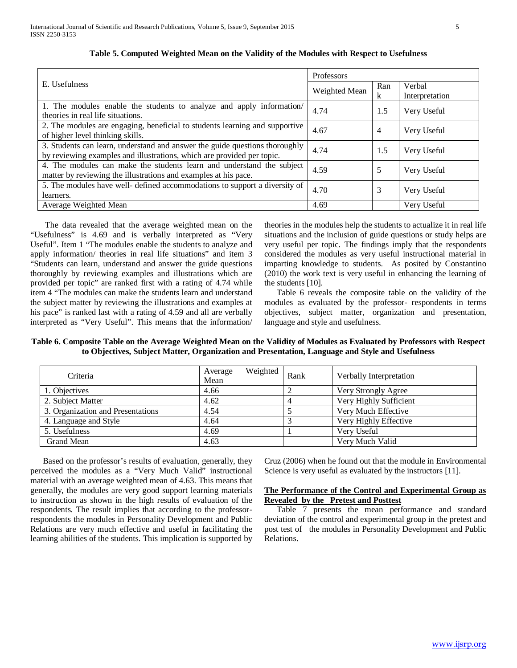|                                                                             | Professors    |                |                |  |  |
|-----------------------------------------------------------------------------|---------------|----------------|----------------|--|--|
| E. Usefulness                                                               | Weighted Mean | Ran            | Verbal         |  |  |
|                                                                             |               | k              | Interpretation |  |  |
| 1. The modules enable the students to analyze and apply information/        | 4.74          | 1.5            | Very Useful    |  |  |
| theories in real life situations.                                           |               |                |                |  |  |
| 2. The modules are engaging, beneficial to students learning and supportive | 4.67          | $\overline{4}$ | Very Useful    |  |  |
| of higher level thinking skills.                                            |               |                |                |  |  |
| 3. Students can learn, understand and answer the guide questions thoroughly | 4.74          | 1.5            | Very Useful    |  |  |
| by reviewing examples and illustrations, which are provided per topic.      |               |                |                |  |  |
| 4. The modules can make the students learn and understand the subject       | 4.59          | 5              | Very Useful    |  |  |
| matter by reviewing the illustrations and examples at his pace.             |               |                |                |  |  |
| 5. The modules have well- defined accommodations to support a diversity of  | 4.70          | 3              |                |  |  |
| learners.                                                                   |               |                | Very Useful    |  |  |
| Average Weighted Mean                                                       | 4.69          |                | Very Useful    |  |  |

**Table 5. Computed Weighted Mean on the Validity of the Modules with Respect to Usefulness**

 The data revealed that the average weighted mean on the "Usefulness" is 4.69 and is verbally interpreted as "Very Useful". Item 1 "The modules enable the students to analyze and apply information/ theories in real life situations" and item 3 "Students can learn, understand and answer the guide questions thoroughly by reviewing examples and illustrations which are provided per topic" are ranked first with a rating of 4.74 while item 4 "The modules can make the students learn and understand the subject matter by reviewing the illustrations and examples at his pace" is ranked last with a rating of 4.59 and all are verbally interpreted as "Very Useful". This means that the information/

theories in the modules help the students to actualize it in real life situations and the inclusion of guide questions or study helps are very useful per topic. The findings imply that the respondents considered the modules as very useful instructional material in imparting knowledge to students. As posited by Constantino (2010) the work text is very useful in enhancing the learning of the students [10].

 Table 6 reveals the composite table on the validity of the modules as evaluated by the professor- respondents in terms objectives, subject matter, organization and presentation, language and style and usefulness.

## **Table 6. Composite Table on the Average Weighted Mean on the Validity of Modules as Evaluated by Professors with Respect to Objectives, Subject Matter, Organization and Presentation, Language and Style and Usefulness**

| Criteria                          | Weighted<br>Average<br>Mean | Rank | Verbally Interpretation |
|-----------------------------------|-----------------------------|------|-------------------------|
| 1. Objectives                     | 4.66                        |      | Very Strongly Agree     |
| 2. Subject Matter                 | 4.62                        |      | Very Highly Sufficient  |
| 3. Organization and Presentations | 4.54                        |      | Very Much Effective     |
| 4. Language and Style             | 4.64                        | 2    | Very Highly Effective   |
| 5. Usefulness                     | 4.69                        |      | Very Useful             |
| Grand Mean                        | 4.63                        |      | Very Much Valid         |

 Based on the professor's results of evaluation, generally, they perceived the modules as a "Very Much Valid" instructional material with an average weighted mean of 4.63. This means that generally, the modules are very good support learning materials to instruction as shown in the high results of evaluation of the respondents. The result implies that according to the professorrespondents the modules in Personality Development and Public Relations are very much effective and useful in facilitating the learning abilities of the students. This implication is supported by Cruz (2006) when he found out that the module in Environmental Science is very useful as evaluated by the instructors [11].

### **The Performance of the Control and Experimental Group as Revealed by the Pretest and Posttest**

 Table 7 presents the mean performance and standard deviation of the control and experimental group in the pretest and post test of the modules in Personality Development and Public Relations.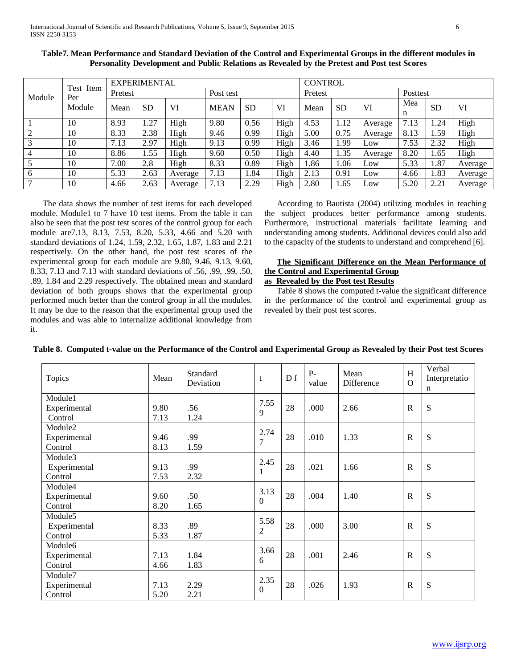|                |                  |         | <b>EXPERIMENTAL</b> |         |                      |           |      |      |           | <b>CONTROL</b> |          |           |         |  |
|----------------|------------------|---------|---------------------|---------|----------------------|-----------|------|------|-----------|----------------|----------|-----------|---------|--|
| Module         | Test Item<br>Per | Pretest |                     |         | Post test<br>Pretest |           |      |      |           |                |          | Posttest  |         |  |
|                | Module           | Mean    | <b>SD</b>           | VI      | <b>MEAN</b>          | <b>SD</b> | VI   | Mean | <b>SD</b> | VI             | Mea<br>n | <b>SD</b> | VI      |  |
|                | 10               | 8.93    | 1.27                | High    | 9.80                 | 0.56      | High | 4.53 | 1.12      | Average        | 7.13     | 1.24      | High    |  |
| 2              | 10               | 8.33    | 2.38                | High    | 9.46                 | 0.99      | High | 5.00 | 0.75      | Average        | 8.13     | l.59      | High    |  |
| 3              | 10               | 7.13    | 2.97                | High    | 9.13                 | 0.99      | High | 3.46 | 1.99      | Low            | 7.53     | 2.32      | High    |  |
| $\overline{4}$ | 10               | 8.86    | 1.55                | High    | 9.60                 | 0.50      | High | 4.40 | 1.35      | Average        | 8.20     | 1.65      | High    |  |
| 5              | 10               | 7.00    | 2.8                 | High    | 8.33                 | 0.89      | High | 1.86 | 1.06      | Low            | 5.33     | 1.87      | Average |  |
| 6              | 10               | 5.33    | 2.63                | Average | 7.13                 | 1.84      | High | 2.13 | 0.91      | Low            | 4.66     | 1.83      | Average |  |
| 7              | 10               | 4.66    | 2.63                | Average | 7.13                 | 2.29      | High | 2.80 | 1.65      | Low            | 5.20     | 2.21      | Average |  |

## **Table7. Mean Performance and Standard Deviation of the Control and Experimental Groups in the different modules in Personality Development and Public Relations as Revealed by the Pretest and Post test Scores**

 The data shows the number of test items for each developed module. Module1 to 7 have 10 test items. From the table it can also be seen that the post test scores of the control group for each module are7.13, 8.13, 7.53, 8.20, 5.33, 4.66 and 5.20 with standard deviations of 1.24, 1.59, 2.32, 1.65, 1.87, 1.83 and 2.21 respectively. On the other hand, the post test scores of the experimental group for each module are 9.80, 9.46, 9.13, 9.60, 8.33, 7.13 and 7.13 with standard deviations of .56, .99, .99, .50, .89, 1.84 and 2.29 respectively. The obtained mean and standard deviation of both groups shows that the experimental group performed much better than the control group in all the modules. It may be due to the reason that the experimental group used the modules and was able to internalize additional knowledge from it.

 According to Bautista (2004) utilizing modules in teaching the subject produces better performance among students. Furthermore, instructional materials facilitate learning and understanding among students. Additional devices could also add to the capacity of the students to understand and comprehend [6].

# **The Significant Difference on the Mean Performance of the Control and Experimental Group**

## **as Revealed by the Post test Results**

 Table 8 shows the computed t-value the significant difference in the performance of the control and experimental group as revealed by their post test scores.

| <b>Topics</b>           | Mean | Standard<br>Deviation | t              | D f | $P-$<br>value | Mean<br>Difference | H<br>$\Omega$ | Verbal<br>Interpretatio<br>n |
|-------------------------|------|-----------------------|----------------|-----|---------------|--------------------|---------------|------------------------------|
| Module1                 | 9.80 |                       | 7.55           | 28  | .000          | 2.66               | $\mathbb{R}$  | S                            |
| Experimental<br>Control | 7.13 | .56<br>1.24           | 9              |     |               |                    |               |                              |
| Module2                 |      |                       | 2.74           |     |               |                    |               |                              |
| Experimental            | 9.46 | .99                   | 7              | 28  | .010          | 1.33               | $\mathbf R$   | S                            |
| Control                 | 8.13 | 1.59                  |                |     |               |                    |               |                              |
| Module3                 |      |                       | 2.45           |     |               |                    |               |                              |
| Experimental            | 9.13 | .99                   | 1              | 28  | .021          | 1.66               | $\mathbf{R}$  | S                            |
| Control                 | 7.53 | 2.32                  |                |     |               |                    |               |                              |
| Module4                 |      |                       | 3.13           |     |               |                    |               |                              |
| Experimental            | 9.60 | .50                   | $\overline{0}$ | 28  | .004          | 1.40               | $\mathbf R$   | S                            |
| Control                 | 8.20 | 1.65                  |                |     |               |                    |               |                              |
| Module5                 |      |                       | 5.58           |     |               |                    |               |                              |
| Experimental            | 8.33 | .89                   | $\overline{2}$ | 28  | .000          | 3.00               | $\mathbb{R}$  | S                            |
| Control                 | 5.33 | 1.87                  |                |     |               |                    |               |                              |
| Module <sub>6</sub>     |      |                       | 3.66           |     |               |                    |               |                              |
| Experimental            | 7.13 | 1.84                  | 6              | 28  | .001          | 2.46               | $\mathbf{R}$  | S                            |
| Control                 | 4.66 | 1.83                  |                |     |               |                    |               |                              |
| Module7                 |      |                       | 2.35           |     |               |                    |               |                              |
| Experimental            | 7.13 | 2.29                  | $\overline{0}$ | 28  | .026          | 1.93               | $\mathbf{R}$  | S                            |
| Control                 | 5.20 | 2.21                  |                |     |               |                    |               |                              |

## **Table 8. Computed t-value on the Performance of the Control and Experimental Group as Revealed by their Post test Scores**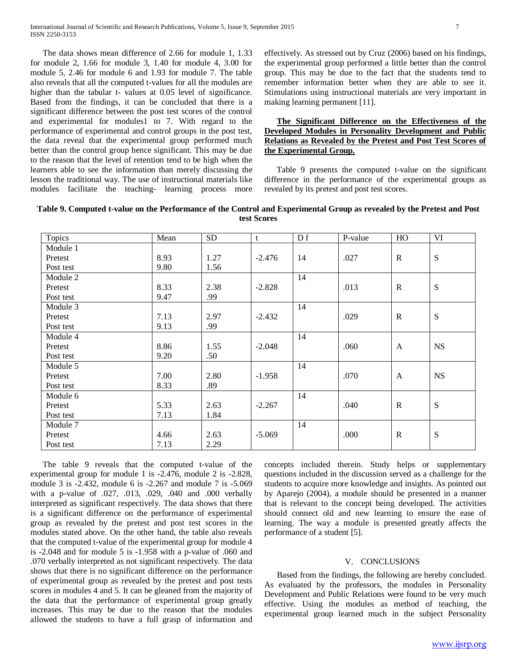The data shows mean difference of 2.66 for module 1, 1.33 for module 2, 1.66 for module 3, 1.40 for module 4, 3.00 for module 5, 2.46 for module 6 and 1.93 for module 7. The table also reveals that all the computed t-values for all the modules are higher than the tabular t- values at 0.05 level of significance. Based from the findings, it can be concluded that there is a significant difference between the post test scores of the control and experimental for modules1 to 7. With regard to the performance of experimental and control groups in the post test, the data reveal that the experimental group performed much better than the control group hence significant. This may be due to the reason that the level of retention tend to be high when the learners able to see the information than merely discussing the lesson the traditional way. The use of instructional materials like modules facilitate the teaching- learning process more effectively. As stressed out by Cruz (2006) based on his findings, the experimental group performed a little better than the control group. This may be due to the fact that the students tend to remember information better when they are able to see it. Stimulations using instructional materials are very important in making learning permanent [11].

## **The Significant Difference on the Effectiveness of the Developed Modules in Personality Development and Public Relations as Revealed by the Pretest and Post Test Scores of the Experimental Group.**

 Table 9 presents the computed t-value on the significant difference in the performance of the experimental groups as revealed by its pretest and post test scores.

## **Table 9. Computed t-value on the Performance of the Control and Experimental Group as revealed by the Pretest and Post test Scores**

| <b>Topics</b> | Mean | <b>SD</b> | t        | D f             | P-value | HO           | VI        |
|---------------|------|-----------|----------|-----------------|---------|--------------|-----------|
| Module 1      |      |           |          |                 |         |              |           |
| Pretest       | 8.93 | 1.27      | $-2.476$ | 14              | .027    | $\mathbb{R}$ | S         |
| Post test     | 9.80 | 1.56      |          |                 |         |              |           |
| Module 2      |      |           |          | $\overline{14}$ |         |              |           |
| Pretest       | 8.33 | 2.38      | $-2.828$ |                 | .013    | $\mathbb{R}$ | S         |
| Post test     | 9.47 | .99       |          |                 |         |              |           |
| Module 3      |      |           |          | 14              |         |              |           |
| Pretest       | 7.13 | 2.97      | $-2.432$ |                 | .029    | $\mathbb{R}$ | S         |
| Post test     | 9.13 | .99       |          |                 |         |              |           |
| Module 4      |      |           |          | 14              |         |              |           |
| Pretest       | 8.86 | 1.55      | $-2.048$ |                 | .060    | $\mathbf{A}$ | <b>NS</b> |
| Post test     | 9.20 | .50       |          |                 |         |              |           |
| Module 5      |      |           |          | 14              |         |              |           |
| Pretest       | 7.00 | 2.80      | $-1.958$ |                 | .070    | $\mathbf{A}$ | <b>NS</b> |
| Post test     | 8.33 | .89       |          |                 |         |              |           |
| Module 6      |      |           |          | 14              |         |              |           |
| Pretest       | 5.33 | 2.63      | $-2.267$ |                 | .040    | $\mathbf R$  | S         |
| Post test     | 7.13 | 1.84      |          |                 |         |              |           |
| Module 7      |      |           |          | 14              |         |              |           |
| Pretest       | 4.66 | 2.63      | $-5.069$ |                 | .000    | $\mathbf R$  | S         |
| Post test     | 7.13 | 2.29      |          |                 |         |              |           |

 The table 9 reveals that the computed t-value of the experimental group for module 1 is -2.476, module 2 is -2.828, module 3 is -2.432, module 6 is -2.267 and module 7 is -5.069 with a p-value of .027, .013, .029, .040 and .000 verbally interpreted as significant respectively. The data shows that there is a significant difference on the performance of experimental group as revealed by the pretest and post test scores in the modules stated above. On the other hand, the table also reveals that the computed t-value of the experimental group for module 4 is -2.048 and for module 5 is -1.958 with a p-value of .060 and .070 verbally interpreted as not significant respectively. The data shows that there is no significant difference on the performance of experimental group as revealed by the pretest and post tests scores in modules 4 and 5. It can be gleaned from the majority of the data that the performance of experimental group greatly increases. This may be due to the reason that the modules allowed the students to have a full grasp of information and

concepts included therein. Study helps or supplementary questions included in the discussion served as a challenge for the students to acquire more knowledge and insights. As pointed out by Aparejo (2004), a module should be presented in a manner that is relevant to the concept being developed. The activities should connect old and new learning to ensure the ease of learning. The way a module is presented greatly affects the performance of a student [5].

## V. CONCLUSIONS

 Based from the findings, the following are hereby concluded. As evaluated by the professors, the modules in Personality Development and Public Relations were found to be very much effective. Using the modules as method of teaching, the experimental group learned much in the subject Personality